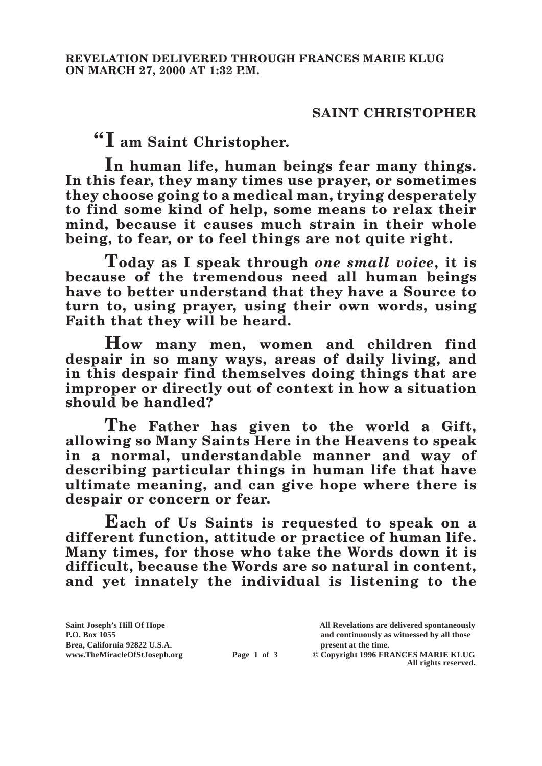## **SAINT CHRISTOPHER**

**"I am Saint Christopher.**

**In human life, human beings fear many things. In this fear, they many times use prayer, or sometimes they choose going to a medical man, trying desperately to find some kind of help, some means to relax their mind, because it causes much strain in their whole being, to fear, or to feel things are not quite right.**

**Today as I speak through** *one small voice***, it is because of the tremendous need all human beings have to better understand that they have a Source to turn to, using prayer, using their own words, using Faith that they will be heard.**

**How many men, women and children find despair in so many ways, areas of daily living, and in this despair find themselves doing things that are improper or directly out of context in how a situation should be handled?**

**The Father has given to the world a Gift, allowing so Many Saints Here in the Heavens to speak in a normal, understandable manner and way of describing particular things in human life that have ultimate meaning, and can give hope where there is despair or concern or fear.**

**Each of Us Saints is requested to speak on a different function, attitude or practice of human life. Many times, for those who take the Words down it is difficult, because the Words are so natural in content, and yet innately the individual is listening to the**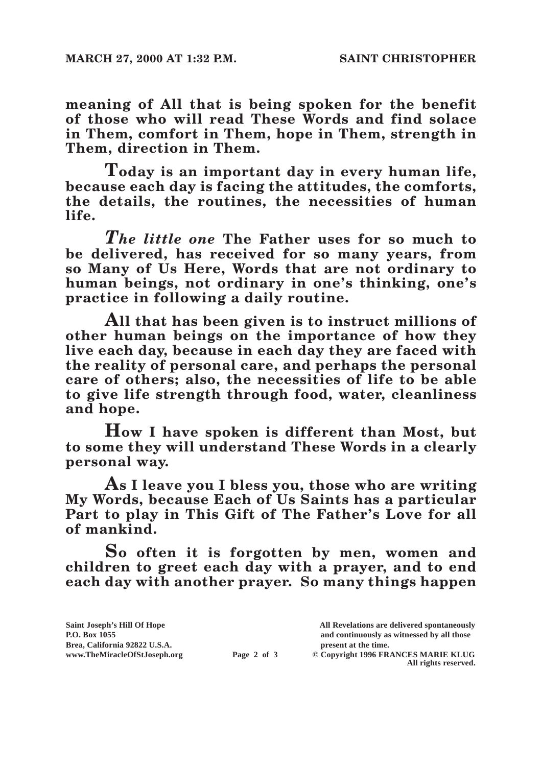**meaning of All that is being spoken for the benefit of those who will read These Words and find solace in Them, comfort in Them, hope in Them, strength in Them, direction in Them.**

**Today is an important day in every human life, because each day is facing the attitudes, the comforts, the details, the routines, the necessities of human life.**

*The little one* **The Father uses for so much to be delivered, has received for so many years, from so Many of Us Here, Words that are not ordinary to human beings, not ordinary in one's thinking, one's practice in following a daily routine.**

**All that has been given is to instruct millions of other human beings on the importance of how they live each day, because in each day they are faced with the reality of personal care, and perhaps the personal care of others; also, the necessities of life to be able to give life strength through food, water, cleanliness and hope.**

**How I have spoken is different than Most, but to some they will understand These Words in a clearly personal way.**

**As I leave you I bless you, those who are writing My Words, because Each of Us Saints has a particular Part to play in This Gift of The Father's Love for all of mankind.**

**So often it is forgotten by men, women and children to greet each day with a prayer, and to end each day with another prayer. So many things happen** 

| Saint Joseph's Hill Of Hope   |             | All Revelations are delivered spontaneously |
|-------------------------------|-------------|---------------------------------------------|
| P.O. Box 1055                 |             | and continuously as witnessed by all those  |
| Brea. California 92822 U.S.A. |             | present at the time.                        |
| www.TheMiracleOfStJoseph.org  | Page 2 of 3 | © Copyright 1996 FRANCES MARIE KLUG         |
|                               |             | All rights reserved.                        |